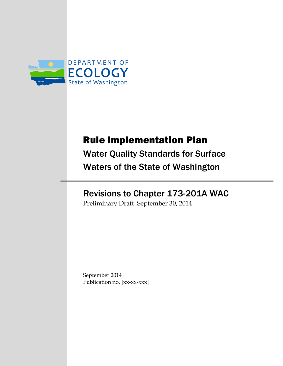

# Rule Implementation Plan

Water Quality Standards for Surface Waters of the State of Washington

# Revisions to Chapter 173-201A WAC

Preliminary Draft September 30, 2014

September 2014 Publication no. [xx-xx-xxx]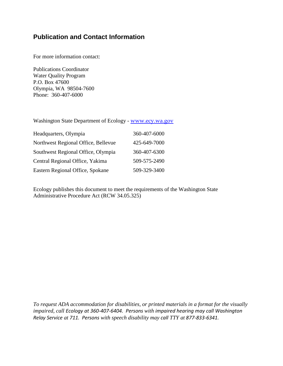## **Publication and Contact Information**

For more information contact:

Publications Coordinator Water Quality Program P.O. Box 47600 Olympia, WA 98504-7600 Phone: 360-407-6000

Washington State Department of Ecology - [www.ecy.wa.gov](http://www.ecy.wa.gov/)

| Headquarters, Olympia               | 360-407-6000 |
|-------------------------------------|--------------|
| Northwest Regional Office, Bellevue | 425-649-7000 |
| Southwest Regional Office, Olympia  | 360-407-6300 |
| Central Regional Office, Yakima     | 509-575-2490 |
| Eastern Regional Office, Spokane    | 509-329-3400 |

Ecology publishes this document to meet the requirements of the Washington State Administrative Procedure Act (RCW 34.05.325)

*To request ADA accommodation for disabilities, or printed materials in a format for the visually impaired, call Ecology at 360-407-6404. Persons with impaired hearing may call Washington Relay Service at 711. Persons with speech disability may call TTY at 877-833-6341.*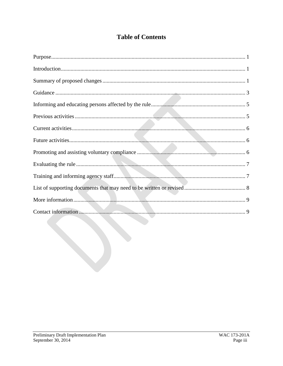# **Table of Contents**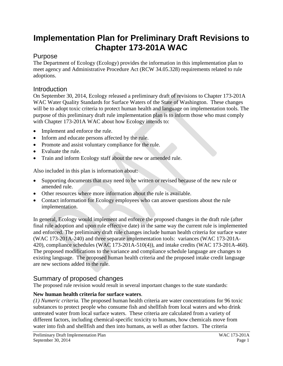# **Implementation Plan for Preliminary Draft Revisions to Chapter 173-201A WAC**

## <span id="page-4-0"></span>Purpose

The Department of Ecology (Ecology) provides the information in this implementation plan to meet agency and Administrative Procedure Act (RCW 34.05.328) requirements related to rule adoptions.

## <span id="page-4-1"></span>**Introduction**

On September 30, 2014, Ecology released a preliminary draft of revisions to Chapter 173-201A WAC Water Quality Standards for Surface Waters of the State of Washington. These changes will be to adopt toxic criteria to protect human health and language on implementation tools. The purpose of this preliminary draft rule implementation plan is to inform those who must comply with Chapter 173-201A WAC about how Ecology intends to:

- Implement and enforce the rule.
- Inform and educate persons affected by the rule.
- Promote and assist voluntary compliance for the rule.
- Evaluate the rule.
- Train and inform Ecology staff about the new or amended rule.

Also included in this plan is information about:

- Supporting documents that may need to be written or revised because of the new rule or amended rule.
- Other resources where more information about the rule is available.
- Contact information for Ecology employees who can answer questions about the rule implementation.

In general, Ecology would implement and enforce the proposed changes in the draft rule (after final rule adoption and upon rule effective date) in the same way the current rule is implemented and enforced. The preliminary draft rule changes include human health criteria for surface water (WAC 173-201A-240) and three separate implementation tools: variances (WAC 173-201A-420), compliance schedules (WAC 173-201A-510(4)), and intake credits (WAC 173-201A-460). The proposed modifications to the variance and compliance schedule language are changes to existing language. The proposed human health criteria and the proposed intake credit language are new sections added to the rule.

# <span id="page-4-2"></span>Summary of proposed changes

The proposed rule revision would result in several important changes to the state standards:

### **New human health criteria for surface waters**.

*(1) Numeric criteria.* The proposed human health criteria are water concentrations for 96 toxic substances to protect people who consume fish and shellfish from local waters and who drink untreated water from local surface waters. These criteria are calculated from a variety of different factors, including chemical-specific toxicity to humans, how chemicals move from water into fish and shellfish and then into humans, as well as other factors. The criteria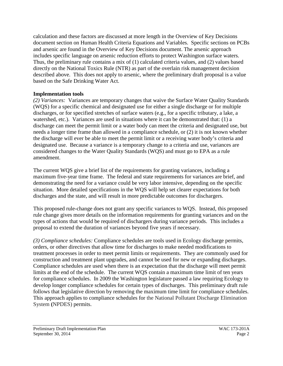calculation and these factors are discussed at more length in the Overview of Key Decisions document section on Human Health Criteria Equations and Variables. Specific sections on PCBs and arsenic are found in the Overview of Key Decisions document. The arsenic approach includes specific language on arsenic reduction efforts to protect Washington surface waters. Thus, the preliminary rule contains a mix of (1) calculated criteria values, and (2) values based directly on the National Toxics Rule (NTR) as part of the overlain risk management decision described above. This does not apply to arsenic, where the preliminary draft proposal is a value based on the Safe Drinking Water Act.

#### **Implementation tools**

*(2) Variances:* Variances are temporary changes that waive the Surface Water Quality Standards (WQS) for a specific chemical and designated use for either a single discharge or for multiple discharges, or for specified stretches of surface waters (e.g., for a specific tributary, a lake, a watershed, etc.). Variances are used in situations where it can be demonstrated that: (1) a discharge can meet the permit limit or a water body can meet the criteria and designated use, but needs a longer time frame than allowed in a compliance schedule, or (2) it is not known whether the discharge will ever be able to meet the permit limit or a receiving water body's criteria and designated use. Because a variance is a temporary change to a criteria and use, variances are considered changes to the Water Quality Standards (WQS) and must go to EPA as a rule amendment.

The current WQS give a brief list of the requirements for granting variances, including a maximum five-year time frame. The federal and state requirements for variances are brief, and demonstrating the need for a variance could be very labor intensive, depending on the specific situation. More detailed specifications in the WQS will help set clearer expectations for both discharges and the state, and will result in more predictable outcomes for dischargers.

This proposed rule-change does not grant any specific variances to WQS. Instead, this proposed rule change gives more details on the information requirements for granting variances and on the types of actions that would be required of dischargers during variance periods. This includes a proposal to extend the duration of variances beyond five years if necessary.

*(3) Compliance schedules:* Compliance schedules are tools used in Ecology discharge permits, orders, or other directives that allow time for discharges to make needed modifications to treatment processes in order to meet permit limits or requirements. They are commonly used for construction and treatment plant upgrades, and cannot be used for new or expanding discharges. Compliance schedules are used when there is an expectation that the discharge will meet permit limits at the end of the schedule. The current WQS contain a maximum time limit of ten years for compliance schedules. In 2009 the Washington legislature passed a law requiring Ecology to develop longer compliance schedules for certain types of discharges. This preliminary draft rule follows that legislative direction by removing the maximum time limit for compliance schedules. This approach applies to compliance schedules for the National Pollutant Discharge Elimination System **(**NPDES) permits.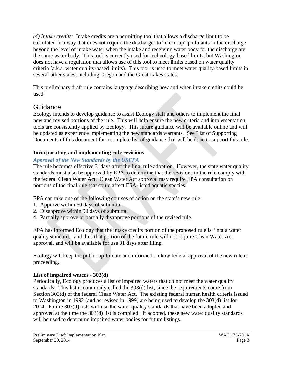*(4) Intake credits:* Intake credits are a permitting tool that allows a discharge limit to be calculated in a way that does not require the discharger to "clean-up" pollutants in the discharge beyond the level of intake water when the intake and receiving water body for the discharge are the same water body. This tool is currently used for technology-based limits, but Washington does not have a regulation that allows use of this tool to meet limits based on water quality criteria (a.k.a. water quality-based limits). This tool is used to meet water quality-based limits in several other states, including Oregon and the Great Lakes states.

This preliminary draft rule contains language describing how and when intake credits could be used.

## <span id="page-6-0"></span>**Guidance**

Ecology intends to develop guidance to assist Ecology staff and others to implement the final new and revised portions of the rule. This will help ensure the new criteria and implementation tools are consistently applied by Ecology. This future guidance will be available online and will be updated as experience implementing the new standards warrants. See List of Supporting Documents of this document for a complete list of guidance that will be done to support this rule.

### **Incorporating and implementing rule revisions**

#### *Approval of the New Standards by the USEPA*

The rule becomes effective 31days after the final rule adoption. However, the state water quality standards must also be approved by EPA to determine that the revisions in the rule comply with the federal Clean Water Act. Clean Water Act approval may require EPA consultation on portions of the final rule that could affect ESA-listed aquatic species.

EPA can take one of the following courses of action on the state's new rule:

- 1. Approve within 60 days of submittal
- 2. Disapprove within 90 days of submittal
- 4. Partially approve or partially disapprove portions of the revised rule.

EPA has informed Ecology that the intake credits portion of the proposed rule is "not a water quality standard," and thus that portion of the future rule will not require Clean Water Act approval, and will be available for use 31 days after filing.

Ecology will keep the public up-to-date and informed on how federal approval of the new rule is proceeding.

### **List of impaired waters - 303(d)**

Periodically, Ecology produces a list of impaired waters that do not meet the water quality standards. This list is commonly called the 303(d) list, since the requirements come from Section 303(d) of the federal Clean Water Act. The existing federal human health criteria issued to Washington in 1992 (and as revised in 1999) are being used to develop the 303(d) list for 2014. Future 303(d) lists will use the water quality standards that have been adopted and approved at the time the 303(d) list is compiled. If adopted, these new water quality standards will be used to determine impaired water bodies for future listings.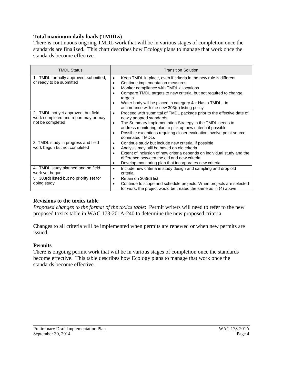#### **Total maximum daily loads (TMDLs)**

There is continuous ongoing TMDL work that will be in various stages of completion once the standards are finalized. This chart describes how Ecology plans to manage that work once the standards become effective.

| <b>TMDL Status</b>                                                                              | <b>Transition Solution</b>                                                                                                                                                                                                                                                                                                                                                                                      |
|-------------------------------------------------------------------------------------------------|-----------------------------------------------------------------------------------------------------------------------------------------------------------------------------------------------------------------------------------------------------------------------------------------------------------------------------------------------------------------------------------------------------------------|
| 1. TMDL formally approved, submitted,<br>or ready to be submitted                               | Keep TMDL in place, even if criteria in the new rule is different<br>$\bullet$<br>Continue implementation measures<br>$\bullet$<br>Monitor compliance with TMDL allocations<br>$\bullet$<br>Compare TMDL targets to new criteria, but not required to change<br>$\bullet$<br>targets<br>Water body will be placed in category 4a: Has a TMDL - in<br>$\bullet$<br>accordance with the new 303(d) listing policy |
| 2. TMDL not yet approved, but field<br>work completed and report may or may<br>not be completed | Proceed with submittal of TMDL package prior to the effective date of<br>$\bullet$<br>newly adopted standards<br>The Summary Implementation Strategy in the TMDL needs to<br>$\bullet$<br>address monitoring plan to pick up new criteria if possible<br>Possible exceptions requiring closer evaluation involve point source<br>٠<br>dominated TMDLs                                                           |
| 3. TMDL study in progress and field<br>work begun but not completed                             | Continue study but include new criteria, if possible<br>$\bullet$<br>Analysis may still be based on old criteria<br>$\bullet$<br>Extent of inclusion of new criteria depends on individual study and the<br>$\bullet$<br>difference between the old and new criteria<br>Develop monitoring plan that incorporates new criteria<br>٠                                                                             |
| 4. TMDL study planned and no field<br>work yet begun                                            | Include new criteria in study design and sampling and drop old<br>$\bullet$<br>criteria                                                                                                                                                                                                                                                                                                                         |
| 5. 303(d) listed but no priority set for<br>doing study                                         | Retain on 303(d) list<br>$\bullet$<br>Continue to scope and schedule projects. When projects are selected<br>$\bullet$<br>for work, the project would be treated the same as in (4) above                                                                                                                                                                                                                       |

#### **Revisions to the toxics table**

*Proposed changes to the format of the toxics table*: Permit writers will need to refer to the new proposed toxics table in WAC 173-201A-240 to determine the new proposed criteria.

Changes to all criteria will be implemented when permits are renewed or when new permits are issued.

#### **Permits**

There is ongoing permit work that will be in various stages of completion once the standards become effective. This table describes how Ecology plans to manage that work once the standards become effective.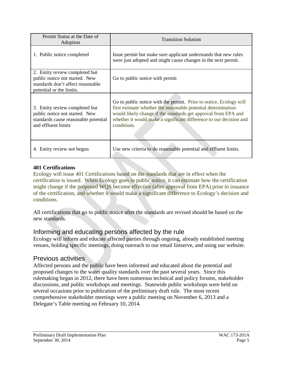| Permit Status at the Date of<br>Adoption                                                                                          | <b>Transition Solution</b>                                                                                                                                                                                                                                                                 |
|-----------------------------------------------------------------------------------------------------------------------------------|--------------------------------------------------------------------------------------------------------------------------------------------------------------------------------------------------------------------------------------------------------------------------------------------|
| 1. Public notice completed                                                                                                        | Issue permit but make sure applicant understands that new rules<br>were just adopted and might cause changes in the next permit.                                                                                                                                                           |
| 2. Entity review completed but<br>public notice not started. New<br>standards don't affect reasonable<br>potential or the limits. | Go to public notice with permit                                                                                                                                                                                                                                                            |
| 3. Entity review completed but<br>public notice not started. New<br>standards cause reasonable potential<br>and effluent limits   | Go to public notice with the permit. Prior to notice, Ecology will<br>first estimate whether the reasonable potential determination<br>would likely change if the standards get approval from EPA and<br>whether it would make a significant difference to our decision and<br>conditions. |
| 4. Entity review not begun                                                                                                        | Use new criteria to do reasonable potential and effluent limits.                                                                                                                                                                                                                           |

#### **401 Certifications**

Ecology will issue 401 Certifications based on the standards that are in effect when the certification is issued. When Ecology goes to public notice, it can estimate how the certification might change if the proposed WQS become effective (after approval from EPA) prior to issuance of the certification, and whether it would make a significant difference to Ecology's decision and conditions.

All certifications that go to public notice after the standards are revised should be based on the new standards.

# <span id="page-8-0"></span>Informing and educating persons affected by the rule

Ecology will inform and educate affected parties through ongoing, already established meeting venues, holding specific meetings, doing outreach to our email listserve, and using our website.

# <span id="page-8-1"></span>Previous activities

Affected persons and the public have been informed and educated about the potential and proposed changes to the water quality standards over the past several years. Since this rulemaking began in 2012, there have been numerous technical and policy forums, stakeholder discussions, and public workshops and meetings. Statewide public workshops were held on several occasions prior to publication of the preliminary draft rule. The most recent comprehensive stakeholder meetings were a public meeting on November 6, 2013 and a Delegate's Table meeting on February 10, 2014.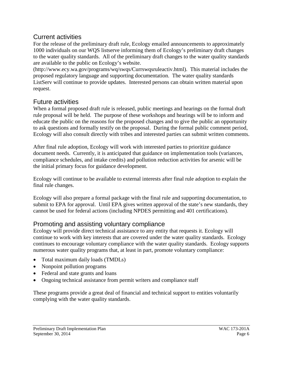## <span id="page-9-0"></span>Current activities

For the release of the preliminary draft rule, Ecology emailed announcements to approximately 1000 individuals on our WQS listserve informing them of Ecology's preliminary draft changes to the water quality standards. All of the preliminary draft changes to the water quality standards are available to the public on Ecology's website.

(http://www.ecy.wa.gov/programs/wq/swqs/Currswqsruleactiv.html). This material includes the proposed regulatory language and supporting documentation. The water quality standards ListServ will continue to provide updates. Interested persons can obtain written material upon request.

## <span id="page-9-1"></span>Future activities

When a formal proposed draft rule is released, public meetings and hearings on the formal draft rule proposal will be held. The purpose of these workshops and hearings will be to inform and educate the public on the reasons for the proposed changes and to give the public an opportunity to ask questions and formally testify on the proposal. During the formal public comment period, Ecology will also consult directly with tribes and interested parties can submit written comments.

After final rule adoption, Ecology will work with interested parties to prioritize guidance document needs. Currently, it is anticipated that guidance on implementation tools (variances, compliance schedules, and intake credits) and pollution reduction activities for arsenic will be the initial primary focus for guidance development.

Ecology will continue to be available to external interests after final rule adoption to explain the final rule changes.

Ecology will also prepare a formal package with the final rule and supporting documentation, to submit to EPA for approval. Until EPA gives written approval of the state's new standards, they cannot be used for federal actions (including NPDES permitting and 401 certifications).

# <span id="page-9-2"></span>Promoting and assisting voluntary compliance

Ecology will provide direct technical assistance to any entity that requests it. Ecology will continue to work with key interests that are covered under the water quality standards. Ecology continues to encourage voluntary compliance with the water quality standards. Ecology supports numerous water quality programs that, at least in part, promote voluntary compliance:

- Total maximum daily loads (TMDLs)
- Nonpoint pollution programs
- Federal and state grants and loans
- Ongoing technical assistance from permit writers and compliance staff

These programs provide a great deal of financial and technical support to entities voluntarily complying with the water quality standards.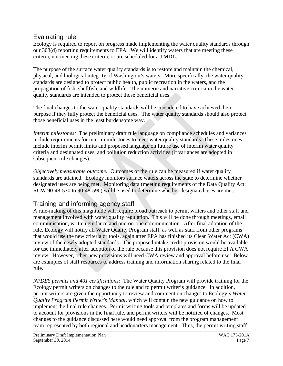## <span id="page-10-0"></span>Evaluating rule

Ecology is required to report on progress made implementing the water quality standards through our 303(d) reporting requirements to EPA. We will identify waters that are meeting these criteria, not meeting these criteria, or are scheduled for a TMDL.

The purpose of the surface water quality standards is to restore and maintain the chemical, physical, and biological integrity of Washington's waters. More specifically, the water quality standards are designed to protect public health, public recreation in the waters, and the propagation of fish, shellfish, and wildlife. The numeric and narrative criteria in the water quality standards are intended to protect those beneficial uses.

The final changes to the water quality standards will be considered to have achieved their purpose if they fully protect the beneficial uses. The water quality standards should also protect those beneficial uses in the least burdensome way.

*Interim milestones:* The preliminary draft rule language on compliance schedules and variances include requirements for interim milestones to meet water quality standards. These milestones include interim permit limits and proposed language on future use of interim water quality criteria and designated uses, and pollution reduction activities (if variances are adopted in subsequent rule changes).

*Objectively measurable outcome:* Outcomes of the rule can be measured if water quality standards are attained. Ecology monitors surface waters across the state to determine whether designated uses are being met. Monitoring data (meeting requirements of the Data Quality Act; RCW 90-48-570 to 90-48-590) will be used to determine whether designated uses are met.

# <span id="page-10-1"></span>Training and informing agency staff

A rule-making of this magnitude will require broad outreach to permit writers and other staff and management involved with water quality regulation. This will be done through meetings, email communication, written guidance and one-on-one communication. After final adoption of the rule, Ecology will notify all Water Quality Program staff, as well as staff from other programs that would use the new criteria or tools, again after EPA has finished its Clean Water Act (CWA) review of the newly adopted standards. The proposed intake credit provision would be available for use immediately after adoption of the rule because this provision does not require EPA CWA review. However, other new provisions will need CWA review and approval before use. Below are examples of staff resources to address training and information sharing related to the final rule.

*NPDES permits and 401 certifications:* The Water Quality Program will provide training for the Ecology permit writers on changes to the rule and to permit writer's guidance. In addition, permit writers are given the opportunity to review and comment on changes to Ecology's *Water Quality Program Permit Writer's Manual,* which will contain the new guidance on how to implement the final rule changes. Permit writing tools and templates and forms will be updated to account for provisions in the final rule, and permit writers will be notified of changes. Most changes to the guidance discussed here would need approval from the program management team represented by both regional and headquarters management. Thus, the permit writing staff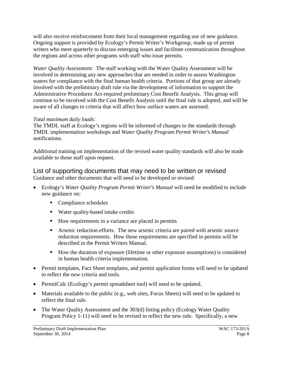will also receive reinforcement from their local management regarding use of new guidance. Ongoing support is provided by Ecology's Permit Writer's Workgroup, made up of permit writers who meet quarterly to discuss emerging issues and facilitate communication throughout the regions and across other programs with staff who issue permits.

*Water Quality Assessment:* The staff working with the Water Quality Assessment will be involved in determining any new approaches that are needed in order to assess Washington waters for compliance with the final human health criteria. Portions of that group are already involved with the preliminary draft rule via the development of information to support the Administrative Procedures Act-required preliminary Cost Benefit Analysis. This group will continue to be involved with the Cost Benefit Analysis until the final rule is adopted, and will be aware of all changes to criteria that will affect how surface waters are assessed.

#### *Total maximum daily loads:*

The TMDL staff at Ecology's regions will be informed of changes to the standards through TMDL implementation workshops and *Water Quality Program Permit Writer's Manual* notifications.

Additional training on implementation of the revised water quality standards will also be made available to those staff upon request.

<span id="page-11-0"></span>List of supporting documents that may need to be written or revised Guidance and other documents that will need to be developed or revised:

- Ecology's *Water Quality Program Permit Writer's Manual* will need be modified to include new guidance on:
	- Compliance schedules
	- Water quality-based intake credits
	- How requirements in a variance are placed in permits
	- Arsenic reduction efforts. The new arsenic criteria are paired with arsenic source reduction requirements. How those requirements are specified in permits will be described in the Permit Writers Manual.
	- How the duration of exposure (lifetime or other exposure assumptions) is considered in human health criteria implementation.
- Permit templates, Fact Sheet templates, and permit application forms will need to be updated to reflect the new criteria and tools.
- PermitCalc (Ecology's permit spreadsheet tool) will need to be updated.
- Materials available to the public (e.g., web sites, Focus Sheets) will need to be updated to reflect the final rule.
- The Water Quality Assessment and the 303(d) listing policy (Ecology Water Quality Program Policy 1-11) will need to be revised to reflect the new rule. Specifically, a new